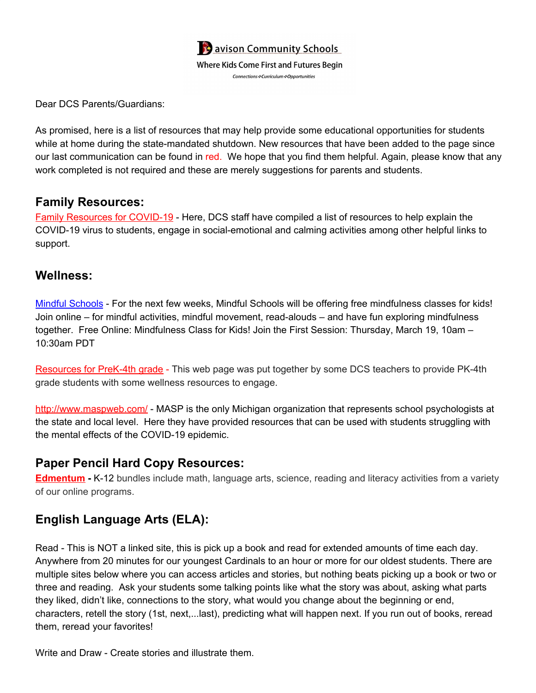

Dear DCS Parents/Guardians:

As promised, here is a list of resources that may help provide some educational opportunities for students while at home during the state-mandated shutdown. New resources that have been added to the page since our last communication can be found in red. We hope that you find them helpful. Again, please know that any work completed is not required and these are merely suggestions for parents and students.

#### **Family Resources:**

Family [Resources](https://docs.google.com/document/d/1psn4lVSnywoZROOO2W-iRwdtqQ8Ndx0lbJJryPwBiY4/edit?usp=sharing) for COVID-19 - Here, DCS staff have compiled a list of resources to help explain the COVID-19 virus to students, engage in social-emotional and calming activities among other helpful links to support.

### **Wellness:**

Mindful [Schools](https://www.mindfulschools.org/free-online-mindfulness-class-for-kids/) - For the next few weeks, Mindful Schools will be offering free mindfulness classes for kids! Join online – for mindful activities, mindful movement, read-alouds – and have fun exploring mindfulness together. Free Online: Mindfulness Class for Kids! Join the First Session: Thursday, March 19, 10am – 10:30am PDT

[Resources](http://dcskids.weebly.com/) for PreK-4th grade - This web page was put together by some DCS teachers to provide PK-4th grade students with some wellness resources to engage.

<http://www.maspweb.com/> - MASP is the only Michigan organization that represents school psychologists at the state and local level. Here they have provided resources that can be used with students struggling with the mental effects of the COVID-19 epidemic.

## **Paper Pencil Hard Copy Resources:**

**[Edmentum](https://info.edmentum.com/Worksheet-Bundles_Download.html) -** K-12 bundles include math, language arts, science, reading and literacy activities from a variety of our online programs.

## **English Language Arts (ELA):**

Read - This is NOT a linked site, this is pick up a book and read for extended amounts of time each day. Anywhere from 20 minutes for our youngest Cardinals to an hour or more for our oldest students. There are multiple sites below where you can access articles and stories, but nothing beats picking up a book or two or three and reading. Ask your students some talking points like what the story was about, asking what parts they liked, didn't like, connections to the story, what would you change about the beginning or end, characters, retell the story (1st, next,...last), predicting what will happen next. If you run out of books, reread them, reread your favorites!

Write and Draw - Create stories and illustrate them.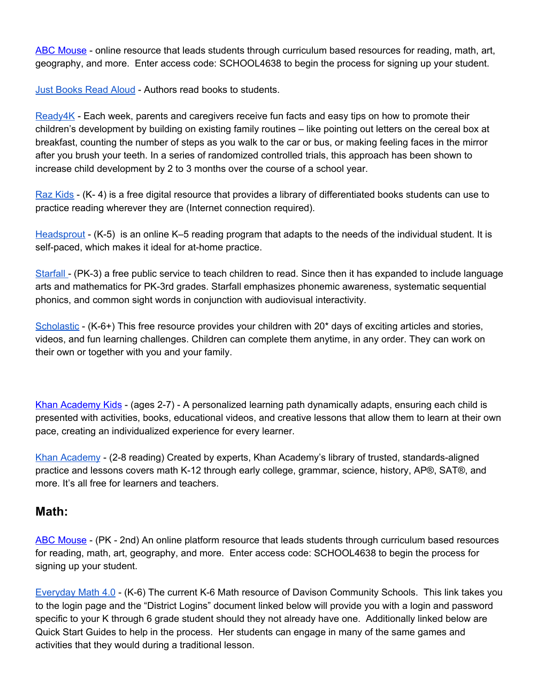ABC [Mouse](http://www.abcmouse.com/redeem) - online resource that leads students through curriculum based resources for reading, math, art, geography, and more. Enter access code: SCHOOL4638 to begin the process for signing up your student.

Just [Books](https://www.justbooksreadaloud.com/) Read Aloud - Authors read books to students.

[Ready4K](https://ready4k.parentpowered.com/) - Each week, parents and caregivers receive fun facts and easy tips on how to promote their children's development by building on existing family routines – like pointing out letters on the cereal box at breakfast, counting the number of steps as you walk to the car or bus, or making feeling faces in the mirror after you brush your teeth. In a series of randomized controlled trials, this approach has been shown to increase child development by 2 to 3 months over the course of a school year.

Raz [Kids](https://accounts.learninga-z.com/accountsweb/marketing/trial.do?campaign=rkCOVID19Trial&utm_term=Raz-Kids&utm_campaign=Virtual%20support%20for%20learning%20during%20the%20Coronavirus%20outbreak&utm_content=email&utm_source=Act-On+Software&utm_medium=email&cm_mmc=Act-On%20Software-_-email-_-Virtual%20support%20for%20learning%20during%20the%20Coronavirus%20outbreak-_-Raz-Kids) - (K- 4) is a free digital resource that provides a library of differentiated books students can use to practice reading wherever they are (Internet connection required).

[Headsprout](https://enews.learninga-z.com/acton/ct/18387/s-18e55-2003/Bct/q-196af/l-0089:66dec3/ct3_1/1?sid=TV2%3Aipwd4NmYo) - (K-5) is an online K–5 reading program that adapts to the needs of the individual student. It is self-paced, which makes it ideal for at-home practice.

[Starfall](https://www.starfall.com/h/) - (PK-3) a free public service to teach children to read. Since then it has expanded to include language arts and mathematics for PK-3rd grades. Starfall emphasizes phonemic awareness, systematic sequential phonics, and common sight words in conjunction with audiovisual interactivity.

[Scholastic](https://classroommagazines.scholastic.com/support/learnathome.html) - (K-6+) This free resource provides your children with 20<sup>\*</sup> days of exciting articles and stories, videos, and fun learning challenges. Children can complete them anytime, in any order. They can work on their own or together with you and your family.

Khan [Academy](https://learn.khanacademy.org/khan-academy-kids/) Kids - (ages 2-7) - A personalized learning path dynamically adapts, ensuring each child is presented with activities, books, educational videos, and creative lessons that allow them to learn at their own pace, creating an individualized experience for every learner.

Khan [Academy](https://www.khanacademy.org/) - (2-8 reading) Created by experts, Khan Academy's library of trusted, standards-aligned practice and lessons covers math K-12 through early college, grammar, science, history, AP®, SAT®, and more. It's all free for learners and teachers.

#### **Math:**

ABC [Mouse](http://www.abcmouse.com/redeem) - (PK - 2nd) An online platform resource that leads students through curriculum based resources for reading, math, art, geography, and more. Enter access code: SCHOOL4638 to begin the process for signing up your student.

[Everyday](https://connected.mcgraw-hill.com/connected/pictorialLoginSchool.do?code=y4i4) Math 4.0 - (K-6) The current K-6 Math resource of Davison Community Schools. This link takes you to the login page and the "District Logins" document linked below will provide you with a login and password specific to your K through 6 grade student should they not already have one. Additionally linked below are Quick Start Guides to help in the process. Her students can engage in many of the same games and activities that they would during a traditional lesson.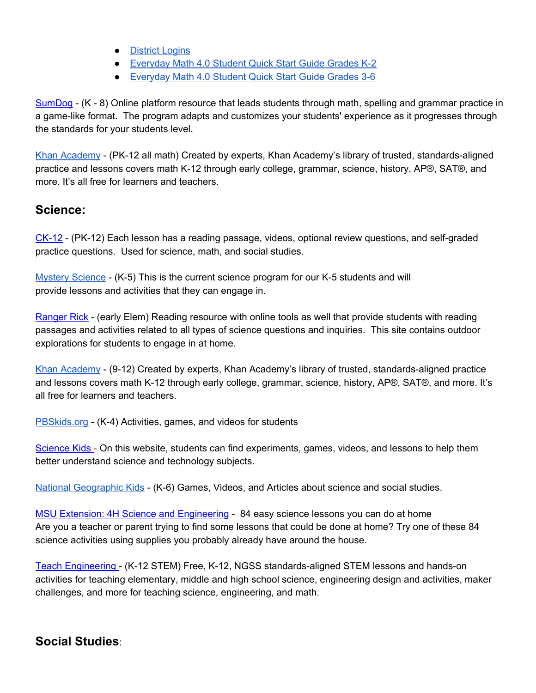- [District](https://docs.google.com/document/d/13P_k1KYg-arwDKSRXG0sQGXAFJCGV9dsR6h4HqRI3SA/edit?usp=sharing) Logins
- [Everyday](https://drive.google.com/file/d/1PzfucskP9XYlNBHa9_tTHpEYVUy3_QHu/view?usp=sharing) Math 4.0 Student Quick Start Guide Grades K-2
- [Everyday](https://drive.google.com/file/d/1zv6XXLx2LEqx1pg46FZbg9o1NRgr-kcZ/view?usp=sharing) Math 4.0 Student Quick Start Guide Grades 3-6

[SumDog](https://www.sumdog.com/parent/sign_up) - (K - 8) Online platform resource that leads students through math, spelling and grammar practice in a game-like format. The program adapts and customizes your students' experience as it progresses through the standards for your students level.

Khan [Academy](https://www.khanacademy.org/) - (PK-12 all math) Created by experts, Khan Academy's library of trusted, standards-aligned practice and lessons covers math K-12 through early college, grammar, science, history, AP®, SAT®, and more. It's all free for learners and teachers.

#### **Science:**

[CK-12](https://www.ck12.org/student/) - (PK-12) Each lesson has a reading passage, videos, optional review questions, and self-graded practice questions. Used for science, math, and social studies.

Mystery [Science](https://mysteryscience.com/school-closure-planning) - (K-5) This is the current science program for our K-5 students and will provide lessons and activities that they can engage in.

[Ranger](https://rangerrick.org/category/activities/outdoor-activities/) Rick - (early Elem) Reading resource with online tools as well that provide students with reading passages and activities related to all types of science questions and inquiries. This site contains outdoor explorations for students to engage in at home.

Khan [Academy](https://www.khanacademy.org/) - (9-12) Created by experts, Khan Academy's library of trusted, standards-aligned practice and lessons covers math K-12 through early college, grammar, science, history, AP®, SAT®, and more. It's all free for learners and teachers.

[PBSkids.org](http://pbskids.org/) - (K-4) Activities, games, and videos for students

[Science](http://www.sciencekids.co.nz/gamesactivities.html) Kids - On this website, students can find experiments, games, videos, and lessons to help them better understand science and technology subjects.

National [Geographic](https://kids.nationalgeographic.com/) Kids - (K-6) Games, Videos, and Articles about science and social studies.

MSU Extension: 4H Science and [Engineering](https://www.canr.msu.edu/news/84-easy-science-lessons-you-can-do-at-home) - 84 easy science lessons you can do at home Are you a teacher or parent trying to find some lessons that could be done at home? Try one of these 84 science activities using supplies you probably already have around the house.

Teach [Engineering](https://www.teachengineering.org/) - (K-12 STEM) Free, K-12, NGSS standards-aligned STEM lessons and hands-on activities for teaching elementary, middle and high school science, engineering design and activities, maker challenges, and more for teaching science, engineering, and math.

## **Social Studies**: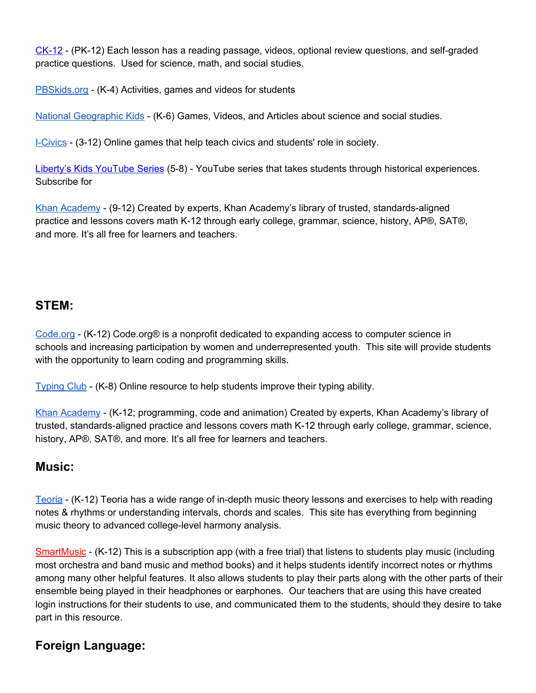[CK-12](https://www.ck12.org/student/) - (PK-12) Each lesson has a reading passage, videos, optional review questions, and self-graded practice questions. Used for science, math, and social studies.

[PBSkids.org](http://pbskids.org/) - (K-4) Activities, games and videos for students

National [Geographic](https://kids.nationalgeographic.com/) Kids - (K-6) Games, Videos, and Articles about science and social studies.

[I-Civics](https://www.icivics.org/) - (3-12) Online games that help teach civics and students' role in society.

Liberty's Kids [YouTube](https://www.youtube.com/watch?v=0ng5oJ1FB8U) Series (5-8) - YouTube series that takes students through historical experiences. Subscribe for

Khan [Academy](https://www.khanacademy.org/) - (9-12) Created by experts, Khan Academy's library of trusted, standards-aligned practice and lessons covers math K-12 through early college, grammar, science, history, AP®, SAT®, and more. It's all free for learners and teachers.

### **STEM:**

[Code.org](http://code.org/) - (K-12) Code.org® is a nonprofit dedicated to expanding access to computer science in schools and increasing participation by women and underrepresented youth. This site will provide students with the opportunity to learn coding and programming skills.

[Typing](https://www.typingclub.com/) Club - (K-8) Online resource to help students improve their typing ability.

Khan [Academy](https://www.khanacademy.org/) - (K-12; programming, code and animation) Created by experts, Khan Academy's library of trusted, standards-aligned practice and lessons covers math K-12 through early college, grammar, science, history, AP®, SAT®, and more. It's all free for learners and teachers.

#### **Music:**

[Teoria](https://www.teoria.com/en/tutorials/) - (K-12) Teoria has a wide range of in-depth music theory lessons and exercises to help with reading notes & rhythms or understanding intervals, chords and scales. This site has everything from beginning music theory to advanced college-level harmony analysis.

[SmartMusic](https://www.smartmusic.com/) - (K-12) This is a subscription app (with a free trial) that listens to students play music (including most orchestra and band music and method books) and it helps students identify incorrect notes or rhythms among many other helpful features. It also allows students to play their parts along with the other parts of their ensemble being played in their headphones or earphones. Our teachers that are using this have created login instructions for their students to use, and communicated them to the students, should they desire to take part in this resource.

## **Foreign Language:**